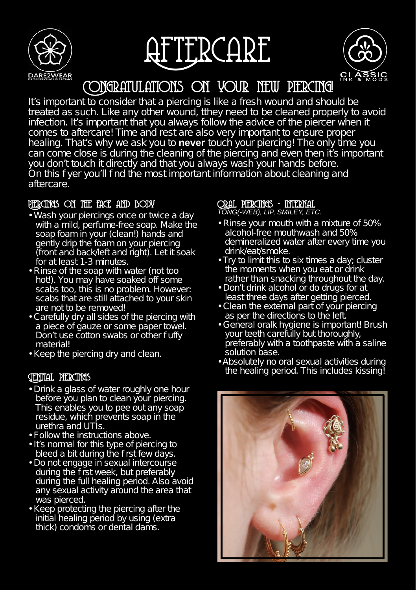





Congratulations on your new piercing!

It's important to consider that a piercing is like a fresh wound and should be treated as such. Like any other wound, tthey need to be cleaned properly to avoid infection. It's important that you always follow the advice of the piercer when it comes to aftercare! Time and rest are also very important to ensure proper healing. That's why we ask you to **never** touch your piercing! The only time you can come close is during the cleaning of the piercing and even then it's important you don't touch it directly and that you always wash your hands before. On this f yer you'll find the most important information about cleaning and aftercare.

#### Piercings on the face and body

- Wash your piercings once or twice a day with a mild, perfume-free soap. Make the soap foam in your (clean!) hands and gently drip the foam on your piercing (front and back/left and right). Let it soak for at least 1-3 minutes.
- Rinse of the soap with water (not too hot!). You may have soaked off some scabs too, this is no problem. However: scabs that are still attached to your skin are not to be removed!
- Carefully dry all sides of the piercing with a piece of gauze or some paper towel. Don't use cotton swabs or other fuffy material!
- Keep the piercing dry and clean.

- Drink a glass of water roughly one hour before you plan to clean your piercing. This enables you to pee out any soap residue, which prevents soap in the urethra and UTIs.
- Follow the instructions above.
- It's normal for this type of piercing to bleed a bit during the f rst few days.
- Do not engage in sexual intercourse during the f rst week, but preferably during the full healing period. Also avoid any sexual activity around the area that was pierced.
- Keep protecting the piercing after the initial healing period by using (extra thick) condoms or dental dams.

# Oral piercings - internal

*TONG(-WEB), LIP, SMILEY, ETC.*

- Rinse your mouth with a mixture of 50% alcohol-free mouthwash and 50% demineralized water after every time you drink/eat/smoke.
- Try to limit this to six times a day; cluster the moments when you eat or drink rather than snacking throughout the day.
- Don't drink alcohol or do drugs for at least three days after getting pierced.
- Clean the external part of your piercing as per the directions to the left.
- General oralk hygiene is important! Brush your teeth carefully but thoroughly, preferably with a toothpaste with a saline solution base.
- Absolutely no oral sexual activities during the healing period. This includes kissing!